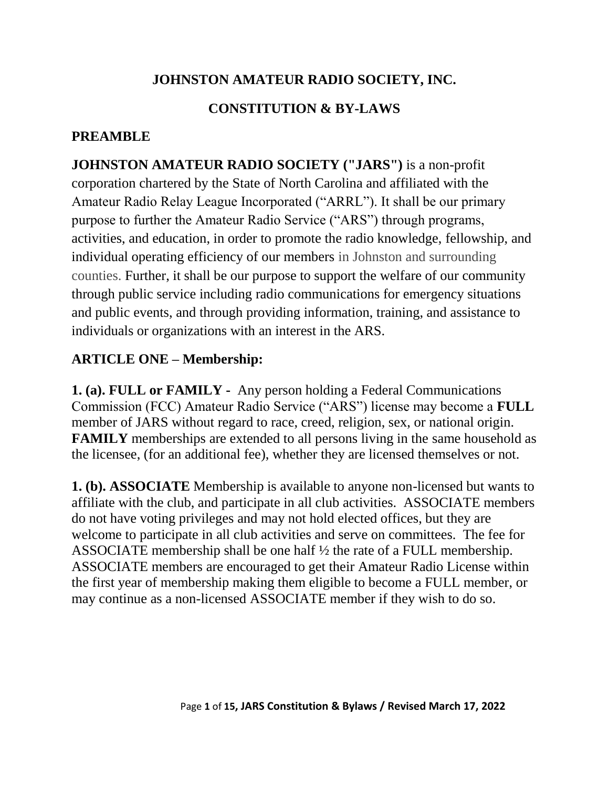## **JOHNSTON AMATEUR RADIO SOCIETY, INC.**

## **CONSTITUTION & BY-LAWS**

## **PREAMBLE**

**JOHNSTON AMATEUR RADIO SOCIETY ("JARS")** is a non-profit corporation chartered by the State of North Carolina and affiliated with the Amateur Radio Relay League Incorporated ("ARRL"). It shall be our primary purpose to further the Amateur Radio Service ("ARS") through programs, activities, and education, in order to promote the radio knowledge, fellowship, and individual operating efficiency of our members in Johnston and surrounding counties. Further, it shall be our purpose to support the welfare of our community through public service including radio communications for emergency situations and public events, and through providing information, training, and assistance to individuals or organizations with an interest in the ARS.

### **ARTICLE ONE – Membership:**

**1. (a). FULL or FAMILY -** Any person holding a Federal Communications Commission (FCC) Amateur Radio Service ("ARS") license may become a **FULL** member of JARS without regard to race, creed, religion, sex, or national origin. **FAMILY** memberships are extended to all persons living in the same household as the licensee, (for an additional fee), whether they are licensed themselves or not.

**1. (b). ASSOCIATE** Membership is available to anyone non-licensed but wants to affiliate with the club, and participate in all club activities. ASSOCIATE members do not have voting privileges and may not hold elected offices, but they are welcome to participate in all club activities and serve on committees. The fee for ASSOCIATE membership shall be one half ½ the rate of a FULL membership. ASSOCIATE members are encouraged to get their Amateur Radio License within the first year of membership making them eligible to become a FULL member, or may continue as a non-licensed ASSOCIATE member if they wish to do so.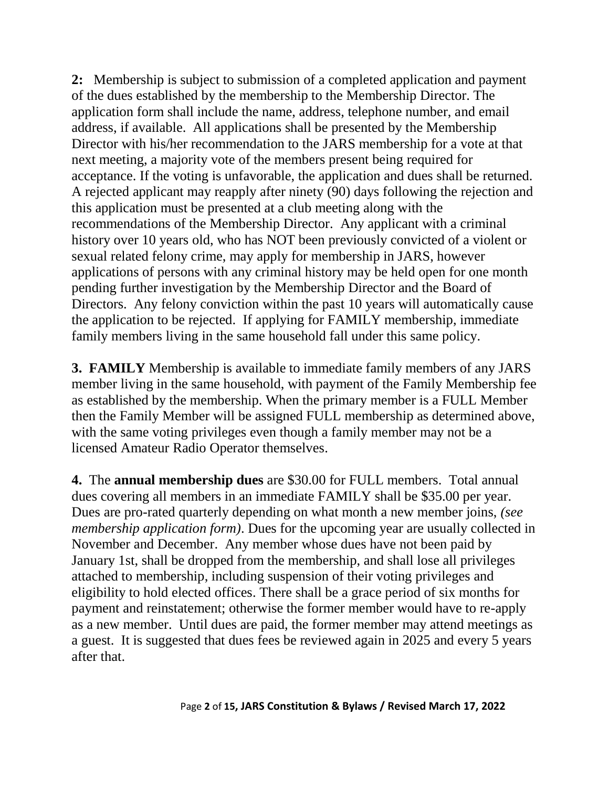**2:** Membership is subject to submission of a completed application and payment of the dues established by the membership to the Membership Director. The application form shall include the name, address, telephone number, and email address, if available. All applications shall be presented by the Membership Director with his/her recommendation to the JARS membership for a vote at that next meeting, a majority vote of the members present being required for acceptance. If the voting is unfavorable, the application and dues shall be returned. A rejected applicant may reapply after ninety (90) days following the rejection and this application must be presented at a club meeting along with the recommendations of the Membership Director. Any applicant with a criminal history over 10 years old, who has NOT been previously convicted of a violent or sexual related felony crime, may apply for membership in JARS, however applications of persons with any criminal history may be held open for one month pending further investigation by the Membership Director and the Board of Directors. Any felony conviction within the past 10 years will automatically cause the application to be rejected. If applying for FAMILY membership, immediate family members living in the same household fall under this same policy.

**3. FAMILY** Membership is available to immediate family members of any JARS member living in the same household, with payment of the Family Membership fee as established by the membership. When the primary member is a FULL Member then the Family Member will be assigned FULL membership as determined above, with the same voting privileges even though a family member may not be a licensed Amateur Radio Operator themselves.

**4.** The **annual membership dues** are \$30.00 for FULL members. Total annual dues covering all members in an immediate FAMILY shall be \$35.00 per year. Dues are pro-rated quarterly depending on what month a new member joins, *(see membership application form)*. Dues for the upcoming year are usually collected in November and December. Any member whose dues have not been paid by January 1st, shall be dropped from the membership, and shall lose all privileges attached to membership, including suspension of their voting privileges and eligibility to hold elected offices. There shall be a grace period of six months for payment and reinstatement; otherwise the former member would have to re-apply as a new member. Until dues are paid, the former member may attend meetings as a guest. It is suggested that dues fees be reviewed again in 2025 and every 5 years after that.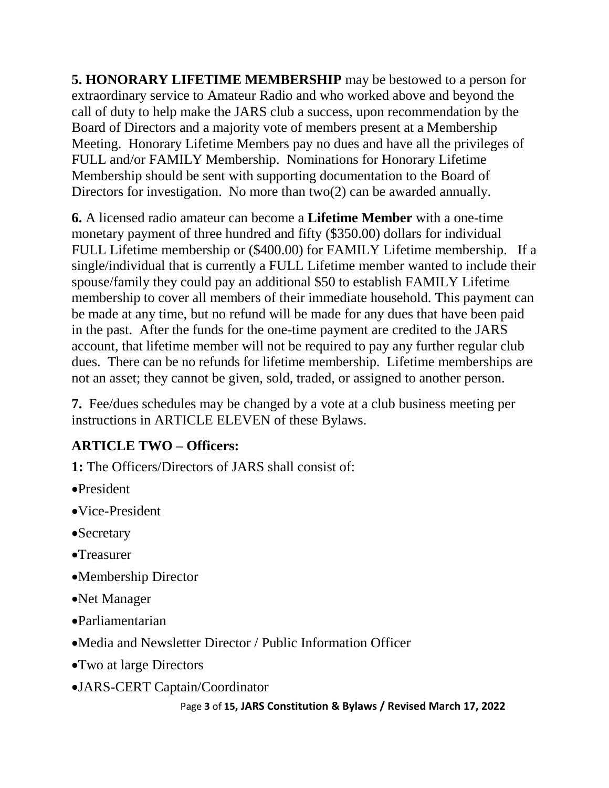**5. HONORARY LIFETIME MEMBERSHIP** may be bestowed to a person for extraordinary service to Amateur Radio and who worked above and beyond the call of duty to help make the JARS club a success, upon recommendation by the Board of Directors and a majority vote of members present at a Membership Meeting. Honorary Lifetime Members pay no dues and have all the privileges of FULL and/or FAMILY Membership. Nominations for Honorary Lifetime Membership should be sent with supporting documentation to the Board of Directors for investigation. No more than two(2) can be awarded annually.

**6.** A licensed radio amateur can become a **Lifetime Member** with a one-time monetary payment of three hundred and fifty (\$350.00) dollars for individual FULL Lifetime membership or (\$400.00) for FAMILY Lifetime membership. If a single/individual that is currently a FULL Lifetime member wanted to include their spouse/family they could pay an additional \$50 to establish FAMILY Lifetime membership to cover all members of their immediate household. This payment can be made at any time, but no refund will be made for any dues that have been paid in the past. After the funds for the one-time payment are credited to the JARS account, that lifetime member will not be required to pay any further regular club dues. There can be no refunds for lifetime membership. Lifetime memberships are not an asset; they cannot be given, sold, traded, or assigned to another person.

**7.** Fee/dues schedules may be changed by a vote at a club business meeting per instructions in ARTICLE ELEVEN of these Bylaws.

## **ARTICLE TWO – Officers:**

**1:** The Officers/Directors of JARS shall consist of:

- President
- Vice-President
- Secretary
- •Treasurer
- Membership Director
- Net Manager
- Parliamentarian
- Media and Newsletter Director / Public Information Officer
- Two at large Directors
- JARS-CERT Captain/Coordinator

```
 Page 3 of 15, JARS Constitution & Bylaws / Revised March 17, 2022
```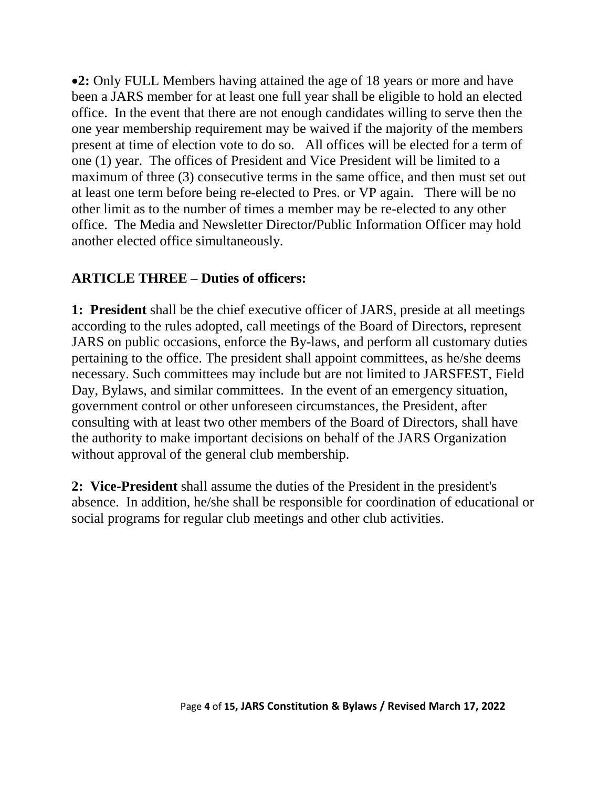**2:** Only FULL Members having attained the age of 18 years or more and have been a JARS member for at least one full year shall be eligible to hold an elected office. In the event that there are not enough candidates willing to serve then the one year membership requirement may be waived if the majority of the members present at time of election vote to do so. All offices will be elected for a term of one (1) year. The offices of President and Vice President will be limited to a maximum of three (3) consecutive terms in the same office, and then must set out at least one term before being re-elected to Pres. or VP again. There will be no other limit as to the number of times a member may be re-elected to any other office. The Media and Newsletter Director**/**Public Information Officer may hold another elected office simultaneously.

### **ARTICLE THREE – Duties of officers:**

**1: President** shall be the chief executive officer of JARS, preside at all meetings according to the rules adopted, call meetings of the Board of Directors, represent JARS on public occasions, enforce the By-laws, and perform all customary duties pertaining to the office. The president shall appoint committees, as he/she deems necessary. Such committees may include but are not limited to JARSFEST, Field Day, Bylaws, and similar committees. In the event of an emergency situation, government control or other unforeseen circumstances, the President, after consulting with at least two other members of the Board of Directors, shall have the authority to make important decisions on behalf of the JARS Organization without approval of the general club membership.

**2: Vice-President** shall assume the duties of the President in the president's absence. In addition, he/she shall be responsible for coordination of educational or social programs for regular club meetings and other club activities.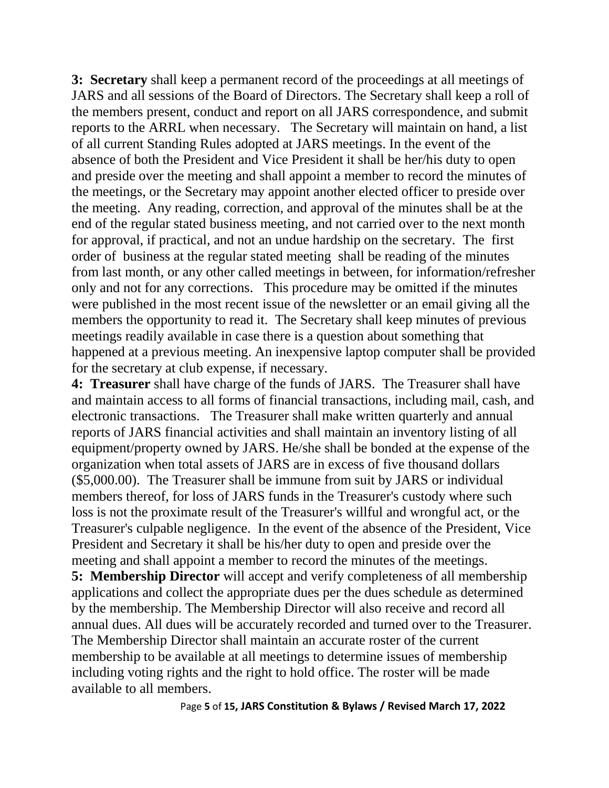**3: Secretary** shall keep a permanent record of the proceedings at all meetings of JARS and all sessions of the Board of Directors. The Secretary shall keep a roll of the members present, conduct and report on all JARS correspondence, and submit reports to the ARRL when necessary. The Secretary will maintain on hand, a list of all current Standing Rules adopted at JARS meetings. In the event of the absence of both the President and Vice President it shall be her/his duty to open and preside over the meeting and shall appoint a member to record the minutes of the meetings, or the Secretary may appoint another elected officer to preside over the meeting. Any reading, correction, and approval of the minutes shall be at the end of the regular stated business meeting, and not carried over to the next month for approval, if practical, and not an undue hardship on the secretary. The first order of business at the regular stated meeting shall be reading of the minutes from last month, or any other called meetings in between, for information/refresher only and not for any corrections. This procedure may be omitted if the minutes were published in the most recent issue of the newsletter or an email giving all the members the opportunity to read it. The Secretary shall keep minutes of previous meetings readily available in case there is a question about something that happened at a previous meeting. An inexpensive laptop computer shall be provided for the secretary at club expense, if necessary.

**4: Treasurer** shall have charge of the funds of JARS. The Treasurer shall have and maintain access to all forms of financial transactions, including mail, cash, and electronic transactions. The Treasurer shall make written quarterly and annual reports of JARS financial activities and shall maintain an inventory listing of all equipment/property owned by JARS. He/she shall be bonded at the expense of the organization when total assets of JARS are in excess of five thousand dollars (\$5,000.00). The Treasurer shall be immune from suit by JARS or individual members thereof, for loss of JARS funds in the Treasurer's custody where such loss is not the proximate result of the Treasurer's willful and wrongful act, or the Treasurer's culpable negligence. In the event of the absence of the President, Vice President and Secretary it shall be his/her duty to open and preside over the meeting and shall appoint a member to record the minutes of the meetings.

**5: Membership Director** will accept and verify completeness of all membership applications and collect the appropriate dues per the dues schedule as determined by the membership. The Membership Director will also receive and record all annual dues. All dues will be accurately recorded and turned over to the Treasurer. The Membership Director shall maintain an accurate roster of the current membership to be available at all meetings to determine issues of membership including voting rights and the right to hold office. The roster will be made available to all members.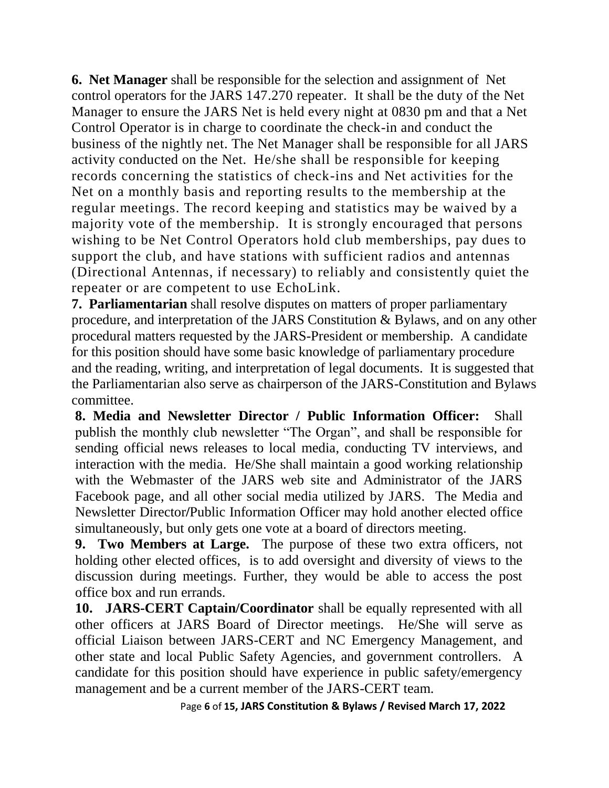**6. Net Manager** shall be responsible for the selection and assignment of Net control operators for the JARS 147.270 repeater. It shall be the duty of the Net Manager to ensure the JARS Net is held every night at 0830 pm and that a Net Control Operator is in charge to coordinate the check-in and conduct the business of the nightly net. The Net Manager shall be responsible for all JARS activity conducted on the Net. He/she shall be responsible for keeping records concerning the statistics of check-ins and Net activities for the Net on a monthly basis and reporting results to the membership at the regular meetings. The record keeping and statistics may be waived by a majority vote of the membership. It is strongly encouraged that persons wishing to be Net Control Operators hold club memberships, pay dues to support the club, and have stations with sufficient radios and antennas (Directional Antennas, if necessary) to reliably and consistently quiet the repeater or are competent to use EchoLink.

**7. Parliamentarian** shall resolve disputes on matters of proper parliamentary procedure, and interpretation of the JARS Constitution & Bylaws, and on any other procedural matters requested by the JARS-President or membership. A candidate for this position should have some basic knowledge of parliamentary procedure and the reading, writing, and interpretation of legal documents. It is suggested that the Parliamentarian also serve as chairperson of the JARS-Constitution and Bylaws committee.

**8. Media and Newsletter Director / Public Information Officer:** Shall publish the monthly club newsletter "The Organ", and shall be responsible for sending official news releases to local media, conducting TV interviews, and interaction with the media. He/She shall maintain a good working relationship with the Webmaster of the JARS web site and Administrator of the JARS Facebook page, and all other social media utilized by JARS. The Media and Newsletter Director**/**Public Information Officer may hold another elected office simultaneously, but only gets one vote at a board of directors meeting.

**9. Two Members at Large.** The purpose of these two extra officers, not holding other elected offices, is to add oversight and diversity of views to the discussion during meetings. Further, they would be able to access the post office box and run errands.

**10. JARS-CERT Captain/Coordinator** shall be equally represented with all other officers at JARS Board of Director meetings. He/She will serve as official Liaison between JARS-CERT and NC Emergency Management, and other state and local Public Safety Agencies, and government controllers. A candidate for this position should have experience in public safety/emergency management and be a current member of the JARS-CERT team.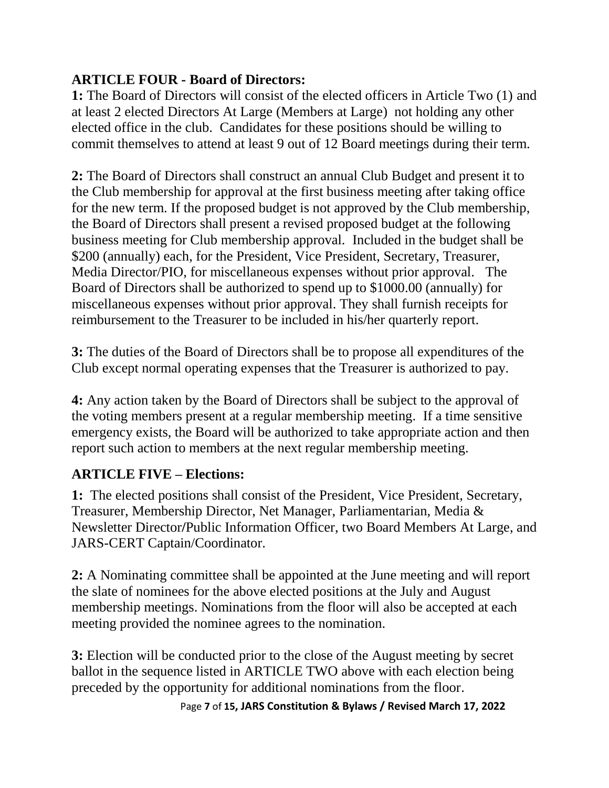## **ARTICLE FOUR - Board of Directors:**

**1:** The Board of Directors will consist of the elected officers in Article Two (1) and at least 2 elected Directors At Large (Members at Large) not holding any other elected office in the club. Candidates for these positions should be willing to commit themselves to attend at least 9 out of 12 Board meetings during their term.

**2:** The Board of Directors shall construct an annual Club Budget and present it to the Club membership for approval at the first business meeting after taking office for the new term. If the proposed budget is not approved by the Club membership, the Board of Directors shall present a revised proposed budget at the following business meeting for Club membership approval. Included in the budget shall be \$200 (annually) each, for the President, Vice President, Secretary, Treasurer, Media Director/PIO, for miscellaneous expenses without prior approval. The Board of Directors shall be authorized to spend up to \$1000.00 (annually) for miscellaneous expenses without prior approval. They shall furnish receipts for reimbursement to the Treasurer to be included in his/her quarterly report.

**3:** The duties of the Board of Directors shall be to propose all expenditures of the Club except normal operating expenses that the Treasurer is authorized to pay.

**4:** Any action taken by the Board of Directors shall be subject to the approval of the voting members present at a regular membership meeting. If a time sensitive emergency exists, the Board will be authorized to take appropriate action and then report such action to members at the next regular membership meeting.

## **ARTICLE FIVE – Elections:**

**1:** The elected positions shall consist of the President, Vice President, Secretary, Treasurer, Membership Director, Net Manager, Parliamentarian, Media & Newsletter Director**/**Public Information Officer, two Board Members At Large, and JARS-CERT Captain/Coordinator.

**2:** A Nominating committee shall be appointed at the June meeting and will report the slate of nominees for the above elected positions at the July and August membership meetings. Nominations from the floor will also be accepted at each meeting provided the nominee agrees to the nomination.

**3:** Election will be conducted prior to the close of the August meeting by secret ballot in the sequence listed in ARTICLE TWO above with each election being preceded by the opportunity for additional nominations from the floor.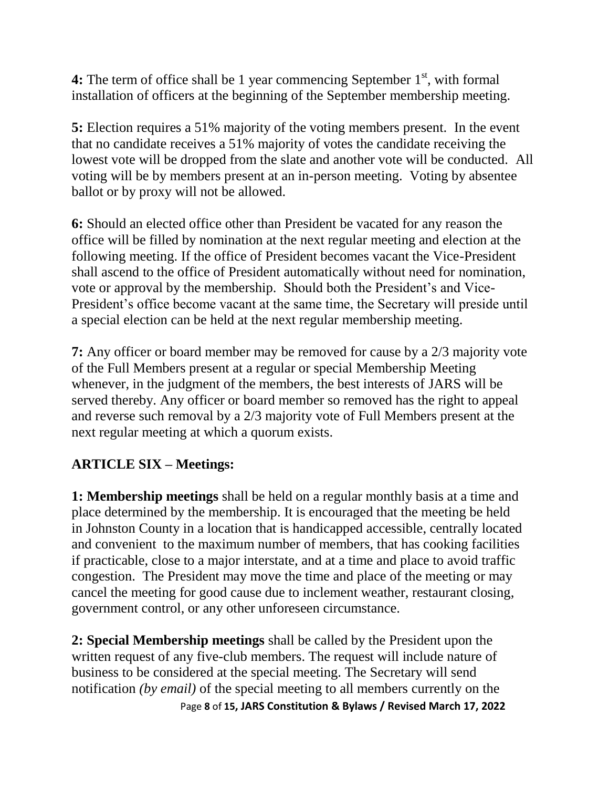**4:** The term of office shall be 1 year commencing September 1<sup>st</sup>, with formal installation of officers at the beginning of the September membership meeting.

**5:** Election requires a 51% majority of the voting members present. In the event that no candidate receives a 51% majority of votes the candidate receiving the lowest vote will be dropped from the slate and another vote will be conducted. All voting will be by members present at an in-person meeting. Voting by absentee ballot or by proxy will not be allowed.

**6:** Should an elected office other than President be vacated for any reason the office will be filled by nomination at the next regular meeting and election at the following meeting. If the office of President becomes vacant the Vice-President shall ascend to the office of President automatically without need for nomination, vote or approval by the membership. Should both the President's and Vice-President's office become vacant at the same time, the Secretary will preside until a special election can be held at the next regular membership meeting.

**7:** Any officer or board member may be removed for cause by a 2/3 majority vote of the Full Members present at a regular or special Membership Meeting whenever, in the judgment of the members, the best interests of JARS will be served thereby. Any officer or board member so removed has the right to appeal and reverse such removal by a 2/3 majority vote of Full Members present at the next regular meeting at which a quorum exists.

## **ARTICLE SIX – Meetings:**

**1: Membership meetings** shall be held on a regular monthly basis at a time and place determined by the membership. It is encouraged that the meeting be held in Johnston County in a location that is handicapped accessible, centrally located and convenient to the maximum number of members, that has cooking facilities if practicable, close to a major interstate, and at a time and place to avoid traffic congestion. The President may move the time and place of the meeting or may cancel the meeting for good cause due to inclement weather, restaurant closing, government control, or any other unforeseen circumstance.

**2: Special Membership meetings** shall be called by the President upon the written request of any five-club members. The request will include nature of business to be considered at the special meeting. The Secretary will send notification *(by email)* of the special meeting to all members currently on the

Page **8** of **15, JARS Constitution & Bylaws / Revised March 17, 2022**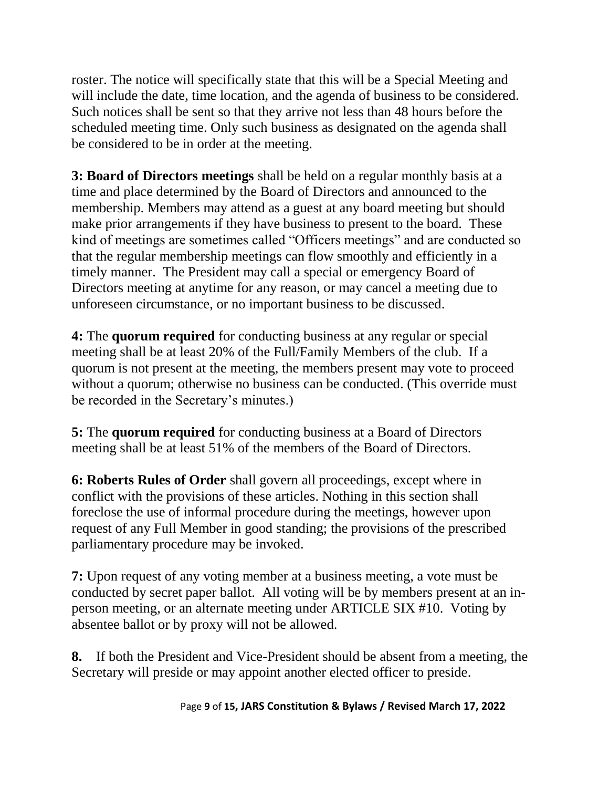roster. The notice will specifically state that this will be a Special Meeting and will include the date, time location, and the agenda of business to be considered. Such notices shall be sent so that they arrive not less than 48 hours before the scheduled meeting time. Only such business as designated on the agenda shall be considered to be in order at the meeting.

**3: Board of Directors meetings** shall be held on a regular monthly basis at a time and place determined by the Board of Directors and announced to the membership. Members may attend as a guest at any board meeting but should make prior arrangements if they have business to present to the board. These kind of meetings are sometimes called "Officers meetings" and are conducted so that the regular membership meetings can flow smoothly and efficiently in a timely manner. The President may call a special or emergency Board of Directors meeting at anytime for any reason, or may cancel a meeting due to unforeseen circumstance, or no important business to be discussed.

**4:** The **quorum required** for conducting business at any regular or special meeting shall be at least 20% of the Full/Family Members of the club. If a quorum is not present at the meeting, the members present may vote to proceed without a quorum; otherwise no business can be conducted. (This override must be recorded in the Secretary's minutes.)

**5:** The **quorum required** for conducting business at a Board of Directors meeting shall be at least 51% of the members of the Board of Directors.

**6: Roberts Rules of Order** shall govern all proceedings, except where in conflict with the provisions of these articles. Nothing in this section shall foreclose the use of informal procedure during the meetings, however upon request of any Full Member in good standing; the provisions of the prescribed parliamentary procedure may be invoked.

**7:** Upon request of any voting member at a business meeting, a vote must be conducted by secret paper ballot. All voting will be by members present at an inperson meeting, or an alternate meeting under ARTICLE SIX #10. Voting by absentee ballot or by proxy will not be allowed.

**8.** If both the President and Vice-President should be absent from a meeting, the Secretary will preside or may appoint another elected officer to preside.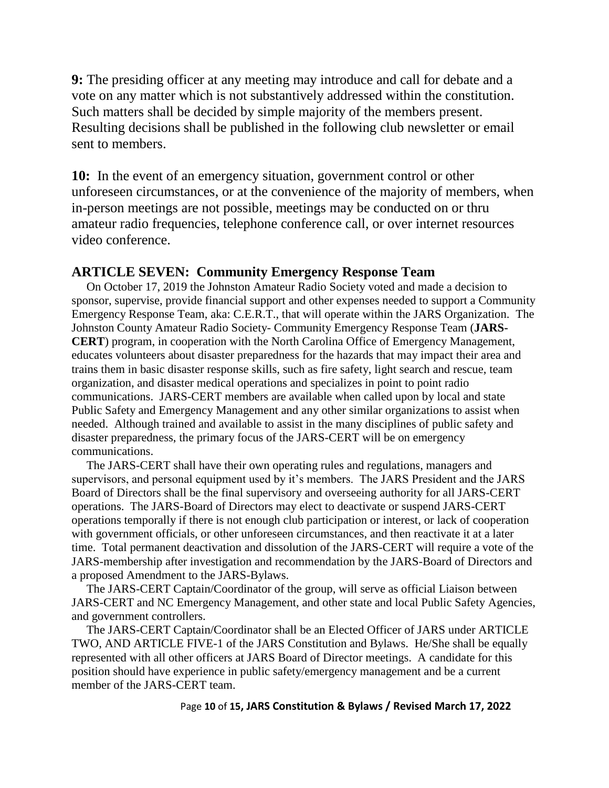**9:** The presiding officer at any meeting may introduce and call for debate and a vote on any matter which is not substantively addressed within the constitution. Such matters shall be decided by simple majority of the members present. Resulting decisions shall be published in the following club newsletter or email sent to members.

**10:** In the event of an emergency situation, government control or other unforeseen circumstances, or at the convenience of the majority of members, when in-person meetings are not possible, meetings may be conducted on or thru amateur radio frequencies, telephone conference call, or over internet resources video conference.

### **ARTICLE SEVEN: Community Emergency Response Team**

On October 17, 2019 the Johnston Amateur Radio Society voted and made a decision to sponsor, supervise, provide financial support and other expenses needed to support a Community Emergency Response Team, aka: C.E.R.T., that will operate within the JARS Organization. The Johnston County Amateur Radio Society- Community Emergency Response Team (**JARS-CERT**) program, in cooperation with the North Carolina Office of Emergency Management, educates volunteers about disaster preparedness for the hazards that may impact their area and trains them in basic disaster response skills, such as fire safety, light search and rescue, team organization, and disaster medical operations and specializes in point to point radio communications. JARS-CERT members are available when called upon by local and state Public Safety and Emergency Management and any other similar organizations to assist when needed. Although trained and available to assist in the many disciplines of public safety and disaster preparedness, the primary focus of the JARS-CERT will be on emergency communications.

 The JARS-CERT shall have their own operating rules and regulations, managers and supervisors, and personal equipment used by it's members. The JARS President and the JARS Board of Directors shall be the final supervisory and overseeing authority for all JARS-CERT operations. The JARS-Board of Directors may elect to deactivate or suspend JARS-CERT operations temporally if there is not enough club participation or interest, or lack of cooperation with government officials, or other unforeseen circumstances, and then reactivate it at a later time. Total permanent deactivation and dissolution of the JARS-CERT will require a vote of the JARS-membership after investigation and recommendation by the JARS-Board of Directors and a proposed Amendment to the JARS-Bylaws.

 The JARS-CERT Captain/Coordinator of the group, will serve as official Liaison between JARS-CERT and NC Emergency Management, and other state and local Public Safety Agencies, and government controllers.

 The JARS-CERT Captain/Coordinator shall be an Elected Officer of JARS under ARTICLE TWO, AND ARTICLE FIVE-1 of the JARS Constitution and Bylaws. He/She shall be equally represented with all other officers at JARS Board of Director meetings. A candidate for this position should have experience in public safety/emergency management and be a current member of the JARS-CERT team.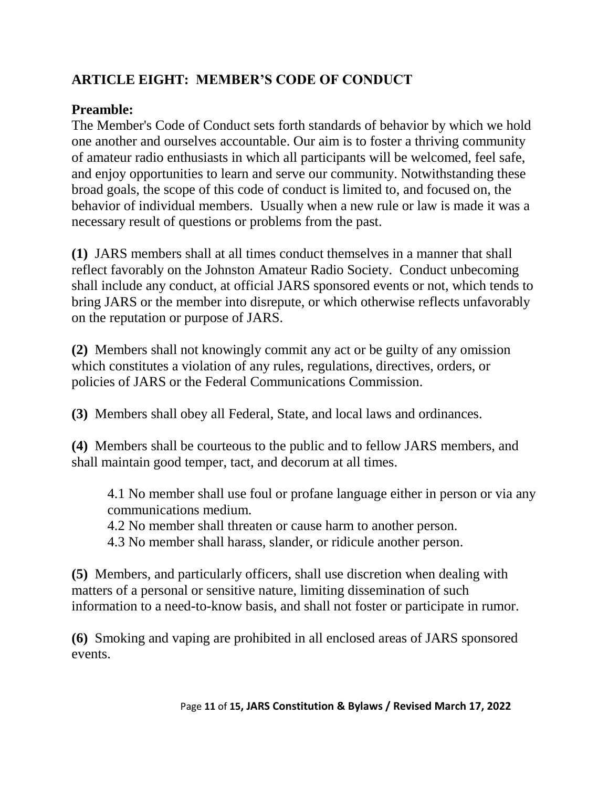# **ARTICLE EIGHT: MEMBER'S CODE OF CONDUCT**

## **Preamble:**

The Member's Code of Conduct sets forth standards of behavior by which we hold one another and ourselves accountable. Our aim is to foster a thriving community of amateur radio enthusiasts in which all participants will be welcomed, feel safe, and enjoy opportunities to learn and serve our community. Notwithstanding these broad goals, the scope of this code of conduct is limited to, and focused on, the behavior of individual members. Usually when a new rule or law is made it was a necessary result of questions or problems from the past.

**(1)** JARS members shall at all times conduct themselves in a manner that shall reflect favorably on the Johnston Amateur Radio Society. Conduct unbecoming shall include any conduct, at official JARS sponsored events or not, which tends to bring JARS or the member into disrepute, or which otherwise reflects unfavorably on the reputation or purpose of JARS.

**(2)** Members shall not knowingly commit any act or be guilty of any omission which constitutes a violation of any rules, regulations, directives, orders, or policies of JARS or the Federal Communications Commission.

**(3)** Members shall obey all Federal, State, and local laws and ordinances.

**(4)** Members shall be courteous to the public and to fellow JARS members, and shall maintain good temper, tact, and decorum at all times.

4.1 No member shall use foul or profane language either in person or via any communications medium.

4.2 No member shall threaten or cause harm to another person.

4.3 No member shall harass, slander, or ridicule another person.

**(5)** Members, and particularly officers, shall use discretion when dealing with matters of a personal or sensitive nature, limiting dissemination of such information to a need-to-know basis, and shall not foster or participate in rumor.

**(6)** Smoking and vaping are prohibited in all enclosed areas of JARS sponsored events.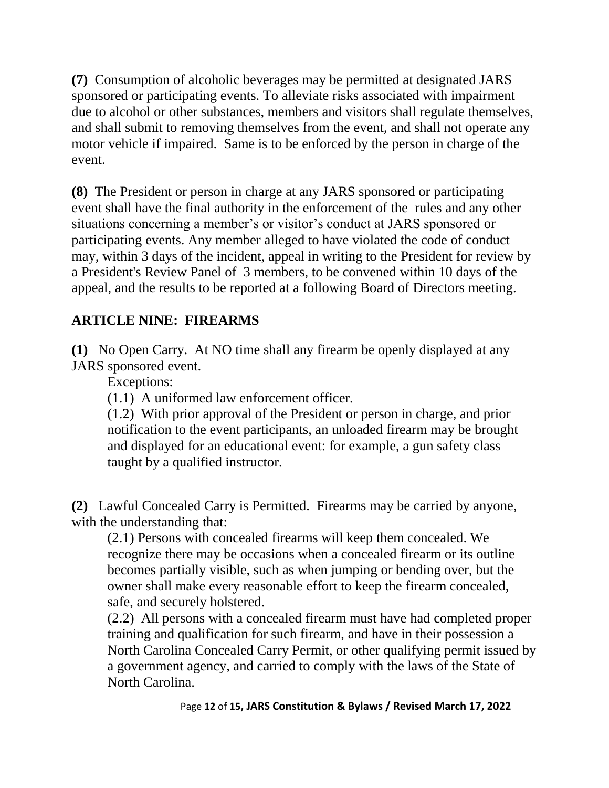**(7)** Consumption of alcoholic beverages may be permitted at designated JARS sponsored or participating events. To alleviate risks associated with impairment due to alcohol or other substances, members and visitors shall regulate themselves, and shall submit to removing themselves from the event, and shall not operate any motor vehicle if impaired. Same is to be enforced by the person in charge of the event.

**(8)** The President or person in charge at any JARS sponsored or participating event shall have the final authority in the enforcement of the rules and any other situations concerning a member's or visitor's conduct at JARS sponsored or participating events. Any member alleged to have violated the code of conduct may, within 3 days of the incident, appeal in writing to the President for review by a President's Review Panel of 3 members, to be convened within 10 days of the appeal, and the results to be reported at a following Board of Directors meeting.

## **ARTICLE NINE: FIREARMS**

**(1)** No Open Carry. At NO time shall any firearm be openly displayed at any JARS sponsored event.

Exceptions:

(1.1) A uniformed law enforcement officer.

(1.2) With prior approval of the President or person in charge, and prior notification to the event participants, an unloaded firearm may be brought and displayed for an educational event: for example, a gun safety class taught by a qualified instructor.

**(2)** Lawful Concealed Carry is Permitted. Firearms may be carried by anyone, with the understanding that:

(2.1) Persons with concealed firearms will keep them concealed. We recognize there may be occasions when a concealed firearm or its outline becomes partially visible, such as when jumping or bending over, but the owner shall make every reasonable effort to keep the firearm concealed, safe, and securely holstered.

(2.2) All persons with a concealed firearm must have had completed proper training and qualification for such firearm, and have in their possession a North Carolina Concealed Carry Permit, or other qualifying permit issued by a government agency, and carried to comply with the laws of the State of North Carolina.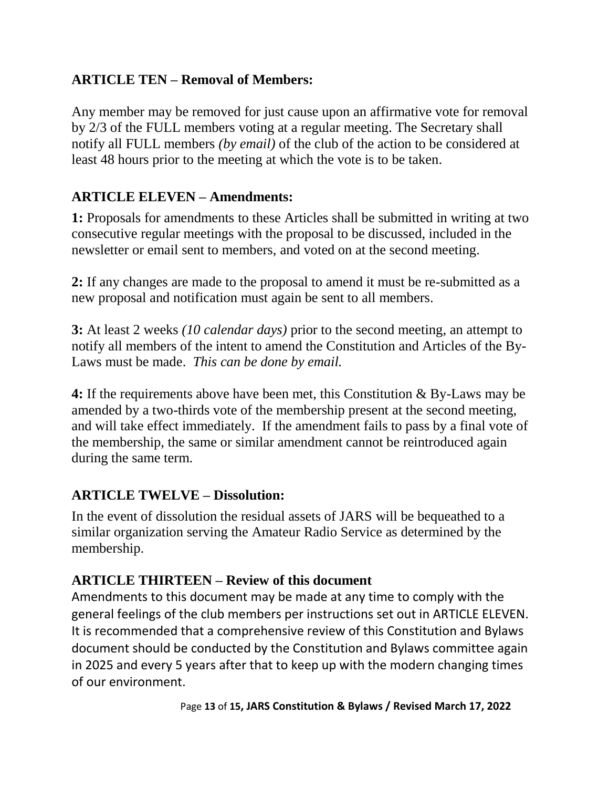## **ARTICLE TEN – Removal of Members:**

Any member may be removed for just cause upon an affirmative vote for removal by 2/3 of the FULL members voting at a regular meeting. The Secretary shall notify all FULL members *(by email)* of the club of the action to be considered at least 48 hours prior to the meeting at which the vote is to be taken.

## **ARTICLE ELEVEN – Amendments:**

**1:** Proposals for amendments to these Articles shall be submitted in writing at two consecutive regular meetings with the proposal to be discussed, included in the newsletter or email sent to members, and voted on at the second meeting.

**2:** If any changes are made to the proposal to amend it must be re-submitted as a new proposal and notification must again be sent to all members.

**3:** At least 2 weeks *(10 calendar days)* prior to the second meeting, an attempt to notify all members of the intent to amend the Constitution and Articles of the By-Laws must be made. *This can be done by email.*

**4:** If the requirements above have been met, this Constitution & By-Laws may be amended by a two-thirds vote of the membership present at the second meeting, and will take effect immediately. If the amendment fails to pass by a final vote of the membership, the same or similar amendment cannot be reintroduced again during the same term.

### **ARTICLE TWELVE – Dissolution:**

In the event of dissolution the residual assets of JARS will be bequeathed to a similar organization serving the Amateur Radio Service as determined by the membership.

## **ARTICLE THIRTEEN – Review of this document**

Amendments to this document may be made at any time to comply with the general feelings of the club members per instructions set out in ARTICLE ELEVEN. It is recommended that a comprehensive review of this Constitution and Bylaws document should be conducted by the Constitution and Bylaws committee again in 2025 and every 5 years after that to keep up with the modern changing times of our environment.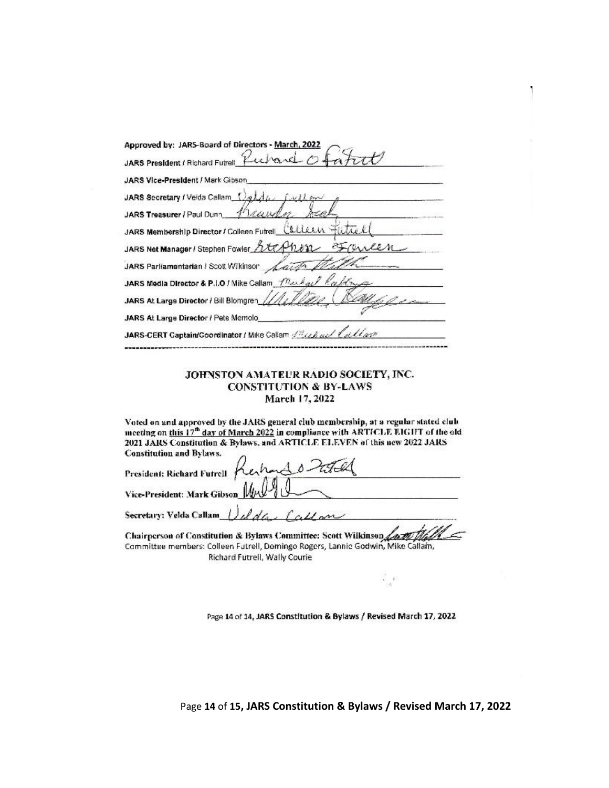| Approved by: JARS-Board of Directors - March, 2022                                             |
|------------------------------------------------------------------------------------------------|
| JARS President / Richard Futrell                                                               |
| JARS Vice-President / Mark Gibson                                                              |
| JARS Secretary / Veida Callam                                                                  |
| 1 raw<br>JARS Treasurer / Paul Dunn                                                            |
| JARS Membership Director / Colleen Futrell_Collean Futrel                                      |
| JARS Net Manager / Stephen Fowler http://                                                      |
| JARS Parliamentarian / Scott Wikinson                                                          |
| JARS Media Director & P.I.O / Mike Callam $\sqrt{n} \omega \lambda \omega / \sqrt{R} \alpha k$ |
| JARS At Large Director / Bill Blomgren                                                         |
| JARS At Large Director / Pete Memolo                                                           |
| JARS-CERT Captain/Coordinator / Mike Callam <i>(Reck ad Callar)</i>                            |
|                                                                                                |

#### JOHNSTON AMATEUR RADIO SOCIETY, INC. **CONSTITUTION & BY-LAWS** March 17, 2022

Voted on and approved by the JARS general club membership, at a regular stated club meeting on this 17<sup>th</sup> day of March 2022 in compliance with ARTICLE EIGHT of the old 2021 JARS Constitution & Bylaws, and ARTICLE ELEVEN of this new 2022 JARS **Constitution and Bylaws.** 

| CARGINGTON RUA INTERIOR                                                                               |  |
|-------------------------------------------------------------------------------------------------------|--|
|                                                                                                       |  |
| President: Richard Futrell Kerhand 0 2004                                                             |  |
| Secretary: Velda Callam $\int_{\mathcal{U}} \mathcal{U}_{\mathcal{U}} d\mu \mathcal{U}_{\mathcal{U}}$ |  |
| Chairnerson of Constitution & Bylaws Committee: Scott Wilkinson Latter that                           |  |

Committee members: Colleen Futrell, Domingo Rogers, Lannic Godwin, Mike Callam, Richard Futrell, Wally Courie

Page 14 of 14, JARS Constitution & Bylaws / Revised March 17, 2022

 $\frac{1}{\alpha}$  ,  $\alpha$ 

Page **14** of **15, JARS Constitution & Bylaws / Revised March 17, 2022**